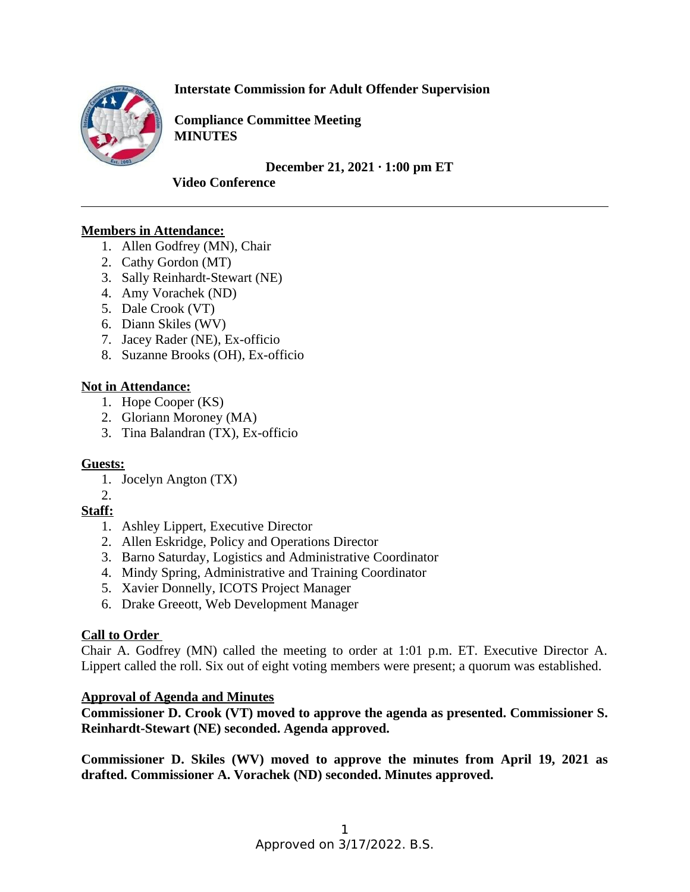**Interstate Commission for Adult Offender Supervision**



**Compliance Committee Meeting MINUTES**

**December 21, 2021 ∙ 1:00 pm ET** 

**Video Conference** 

## **Members in Attendance:**

- 1. Allen Godfrey (MN), Chair
- 2. Cathy Gordon (MT)
- 3. Sally Reinhardt-Stewart (NE)
- 4. Amy Vorachek (ND)
- 5. Dale Crook (VT)
- 6. Diann Skiles (WV)
- 7. Jacey Rader (NE), Ex-officio
- 8. Suzanne Brooks (OH), Ex-officio

## **Not in Attendance:**

- 1. Hope Cooper (KS)
- 2. Gloriann Moroney (MA)
- 3. Tina Balandran (TX), Ex-officio

## **Guests:**

- 1. Jocelyn Angton (TX)
- $2<sub>1</sub>$

# **Staff:**

- 1. Ashley Lippert, Executive Director
- 2. Allen Eskridge, Policy and Operations Director
- 3. Barno Saturday, Logistics and Administrative Coordinator
- 4. Mindy Spring, Administrative and Training Coordinator
- 5. Xavier Donnelly, ICOTS Project Manager
- 6. Drake Greeott, Web Development Manager

# **Call to Order**

Chair A. Godfrey (MN) called the meeting to order at 1:01 p.m. ET. Executive Director A. Lippert called the roll. Six out of eight voting members were present; a quorum was established.

## **Approval of Agenda and Minutes**

**Commissioner D. Crook (VT) moved to approve the agenda as presented. Commissioner S. Reinhardt-Stewart (NE) seconded. Agenda approved.** 

**Commissioner D. Skiles (WV) moved to approve the minutes from April 19, 2021 as drafted. Commissioner A. Vorachek (ND) seconded. Minutes approved.**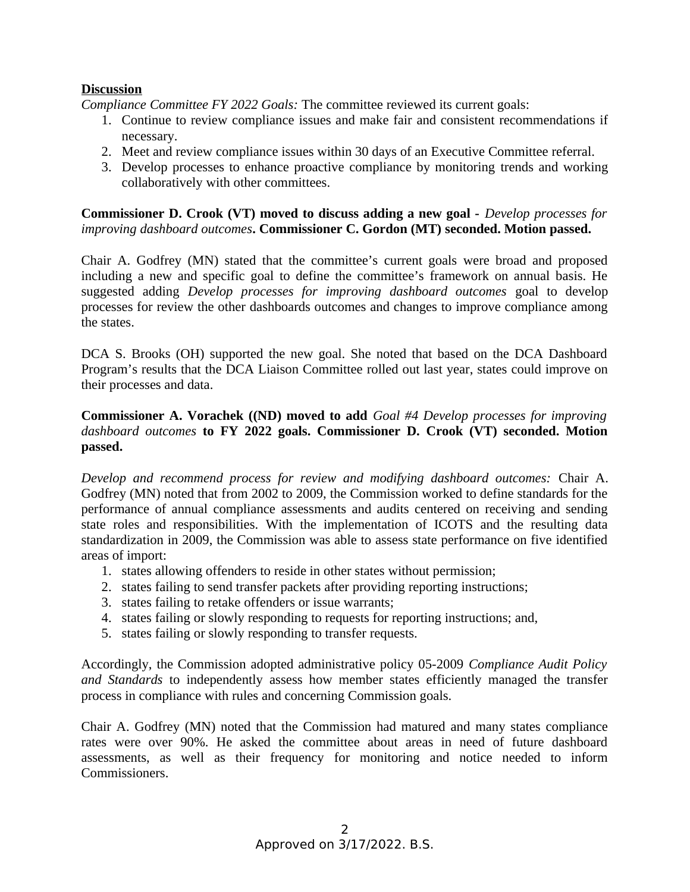### **Discussion**

*Compliance Committee FY 2022 Goals:* The committee reviewed its current goals:

- 1. Continue to review compliance issues and make fair and consistent recommendations if necessary.
- 2. Meet and review compliance issues within 30 days of an Executive Committee referral.
- 3. Develop processes to enhance proactive compliance by monitoring trends and working collaboratively with other committees.

**Commissioner D. Crook (VT) moved to discuss adding a new goal -** *Develop processes for improving dashboard outcomes***. Commissioner C. Gordon (MT) seconded. Motion passed.** 

Chair A. Godfrey (MN) stated that the committee's current goals were broad and proposed including a new and specific goal to define the committee's framework on annual basis. He suggested adding *Develop processes for improving dashboard outcomes* goal to develop processes for review the other dashboards outcomes and changes to improve compliance among the states.

DCA S. Brooks (OH) supported the new goal. She noted that based on the DCA Dashboard Program's results that the DCA Liaison Committee rolled out last year, states could improve on their processes and data.

## **Commissioner A. Vorachek ((ND) moved to add** *Goal #4 Develop processes for improving dashboard outcomes* **to FY 2022 goals. Commissioner D. Crook (VT) seconded. Motion passed.**

*Develop and recommend process for review and modifying dashboard outcomes:* Chair A. Godfrey (MN) noted that from 2002 to 2009, the Commission worked to define standards for the performance of annual compliance assessments and audits centered on receiving and sending state roles and responsibilities. With the implementation of ICOTS and the resulting data standardization in 2009, the Commission was able to assess state performance on five identified areas of import:

- 1. states allowing offenders to reside in other states without permission;
- 2. states failing to send transfer packets after providing reporting instructions;
- 3. states failing to retake offenders or issue warrants;
- 4. states failing or slowly responding to requests for reporting instructions; and,
- 5. states failing or slowly responding to transfer requests.

Accordingly, the Commission adopted administrative policy 05-2009 *Compliance Audit Policy and Standards* to independently assess how member states efficiently managed the transfer process in compliance with rules and concerning Commission goals.

Chair A. Godfrey (MN) noted that the Commission had matured and many states compliance rates were over 90%. He asked the committee about areas in need of future dashboard assessments, as well as their frequency for monitoring and notice needed to inform Commissioners.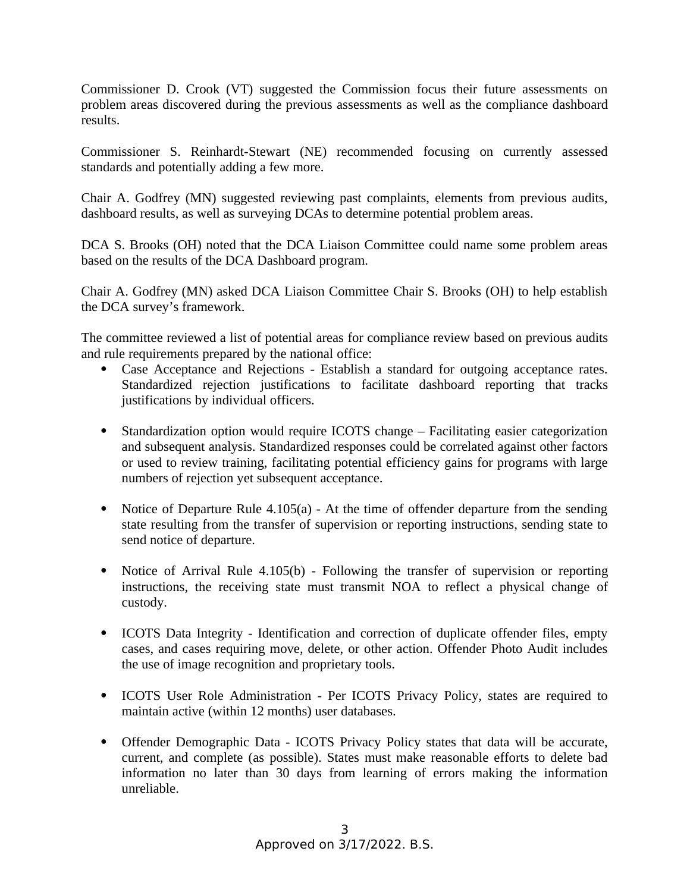Commissioner D. Crook (VT) suggested the Commission focus their future assessments on problem areas discovered during the previous assessments as well as the compliance dashboard results.

Commissioner S. Reinhardt-Stewart (NE) recommended focusing on currently assessed standards and potentially adding a few more.

Chair A. Godfrey (MN) suggested reviewing past complaints, elements from previous audits, dashboard results, as well as surveying DCAs to determine potential problem areas.

DCA S. Brooks (OH) noted that the DCA Liaison Committee could name some problem areas based on the results of the DCA Dashboard program.

Chair A. Godfrey (MN) asked DCA Liaison Committee Chair S. Brooks (OH) to help establish the DCA survey's framework.

The committee reviewed a list of potential areas for compliance review based on previous audits and rule requirements prepared by the national office:

- Case Acceptance and Rejections Establish a standard for outgoing acceptance rates. Standardized rejection justifications to facilitate dashboard reporting that tracks justifications by individual officers.
- Standardization option would require ICOTS change Facilitating easier categorization and subsequent analysis. Standardized responses could be correlated against other factors or used to review training, facilitating potential efficiency gains for programs with large numbers of rejection yet subsequent acceptance.
- Notice of Departure Rule 4.105(a) At the time of offender departure from the sending state resulting from the transfer of supervision or reporting instructions, sending state to send notice of departure.
- Notice of Arrival Rule 4.105(b) Following the transfer of supervision or reporting instructions, the receiving state must transmit NOA to reflect a physical change of custody.
- ICOTS Data Integrity Identification and correction of duplicate offender files, empty cases, and cases requiring move, delete, or other action. Offender Photo Audit includes the use of image recognition and proprietary tools.
- ICOTS User Role Administration Per ICOTS Privacy Policy, states are required to maintain active (within 12 months) user databases.
- Offender Demographic Data ICOTS Privacy Policy states that data will be accurate, current, and complete (as possible). States must make reasonable efforts to delete bad information no later than 30 days from learning of errors making the information unreliable.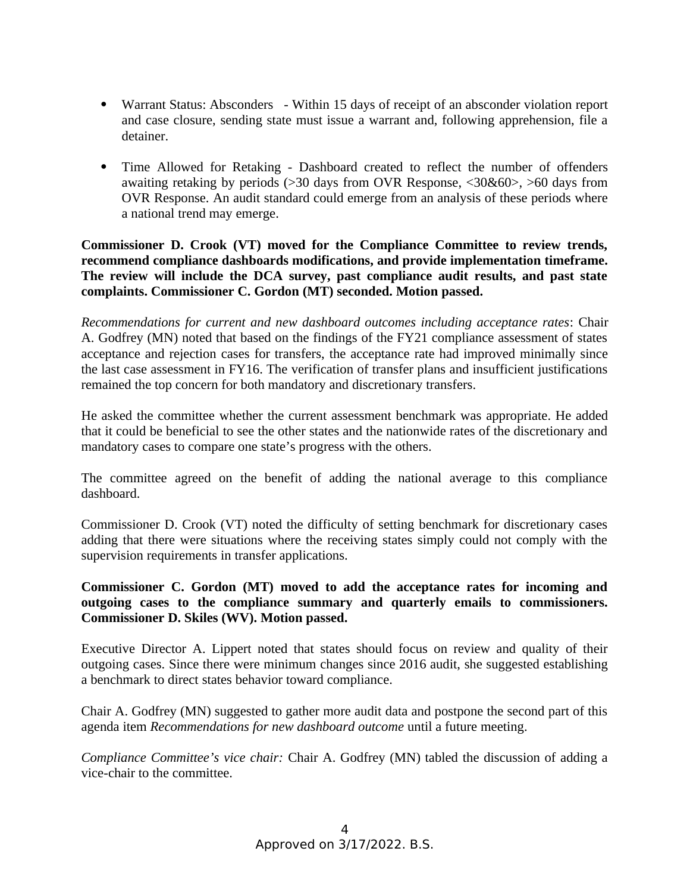- Warrant Status: Absconders Within 15 days of receipt of an absconder violation report and case closure, sending state must issue a warrant and, following apprehension, file a detainer.
- Time Allowed for Retaking Dashboard created to reflect the number of offenders awaiting retaking by periods (>30 days from OVR Response, <30&60>, >60 days from OVR Response. An audit standard could emerge from an analysis of these periods where a national trend may emerge.

### **Commissioner D. Crook (VT) moved for the Compliance Committee to review trends, recommend compliance dashboards modifications, and provide implementation timeframe. The review will include the DCA survey, past compliance audit results, and past state complaints. Commissioner C. Gordon (MT) seconded. Motion passed.**

*Recommendations for current and new dashboard outcomes including acceptance rates*: Chair A. Godfrey (MN) noted that based on the findings of the FY21 compliance assessment of states acceptance and rejection cases for transfers, the acceptance rate had improved minimally since the last case assessment in FY16. The verification of transfer plans and insufficient justifications remained the top concern for both mandatory and discretionary transfers.

He asked the committee whether the current assessment benchmark was appropriate. He added that it could be beneficial to see the other states and the nationwide rates of the discretionary and mandatory cases to compare one state's progress with the others.

The committee agreed on the benefit of adding the national average to this compliance dashboard.

Commissioner D. Crook (VT) noted the difficulty of setting benchmark for discretionary cases adding that there were situations where the receiving states simply could not comply with the supervision requirements in transfer applications.

## **Commissioner C. Gordon (MT) moved to add the acceptance rates for incoming and outgoing cases to the compliance summary and quarterly emails to commissioners. Commissioner D. Skiles (WV). Motion passed.**

Executive Director A. Lippert noted that states should focus on review and quality of their outgoing cases. Since there were minimum changes since 2016 audit, she suggested establishing a benchmark to direct states behavior toward compliance.

Chair A. Godfrey (MN) suggested to gather more audit data and postpone the second part of this agenda item *Recommendations for new dashboard outcome* until a future meeting.

*Compliance Committee's vice chair:* Chair A. Godfrey (MN) tabled the discussion of adding a vice-chair to the committee.